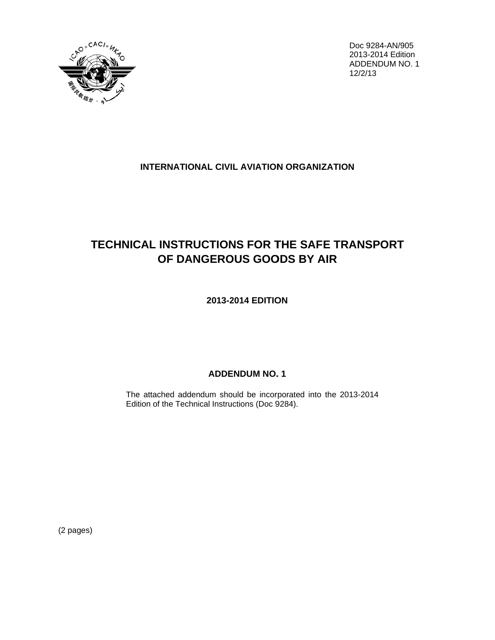

Doc 9284-AN/905 2013-2014 Edition ADDENDUM NO. 1  $12/2/13$ 

## **INTERNATIONAL CIVIL AVIATION ORGANIZATION**

## **TECHNICAL INSTRUCTIONS FOR THE SAFE TRANSPORT** OF DANGEROUS GOODS BY AIR

2013-2014 EDITION

## **ADDENDUM NO. 1**

The attached addendum should be incorporated into the 2013-2014 Edition of the Technical Instructions (Doc 9284).

(2 pages)